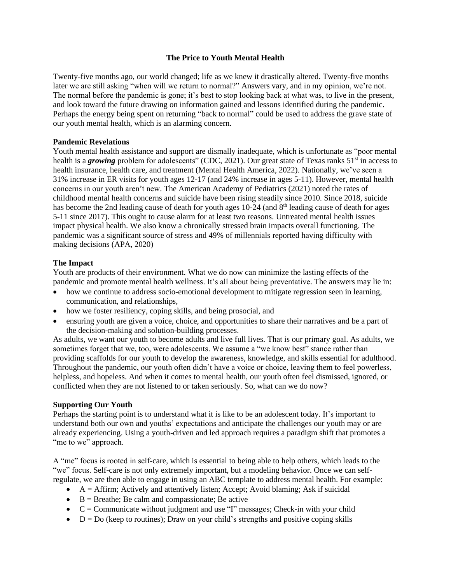# **The Price to Youth Mental Health**

Twenty-five months ago, our world changed; life as we knew it drastically altered. Twenty-five months later we are still asking "when will we return to normal?" Answers vary, and in my opinion, we're not. The normal before the pandemic is gone; it's best to stop looking back at what was, to live in the present, and look toward the future drawing on information gained and lessons identified during the pandemic. Perhaps the energy being spent on returning "back to normal" could be used to address the grave state of our youth mental health, which is an alarming concern.

### **Pandemic Revelations**

Youth mental health assistance and support are dismally inadequate, which is unfortunate as "poor mental health is a *growing* problem for adolescents" (CDC, 2021). Our great state of Texas ranks 51<sup>st</sup> in access to health insurance, health care, and treatment (Mental Health America, 2022). Nationally, we've seen a 31% increase in ER visits for youth ages 12-17 (and 24% increase in ages 5-11). However, mental health concerns in our youth aren't new. The American Academy of Pediatrics (2021) noted the rates of childhood mental health concerns and suicide have been rising steadily since 2010. Since 2018, suicide has become the 2nd leading cause of death for youth ages 10-24 (and 8<sup>th</sup> leading cause of death for ages 5-11 since 2017). This ought to cause alarm for at least two reasons. Untreated mental health issues impact physical health. We also know a chronically stressed brain impacts overall functioning. The pandemic was a significant source of stress and 49% of millennials reported having difficulty with making decisions (APA, 2020)

### **The Impact**

Youth are products of their environment. What we do now can minimize the lasting effects of the pandemic and promote mental health wellness. It's all about being preventative. The answers may lie in:

- how we continue to address socio-emotional development to mitigate regression seen in learning, communication, and relationships,
- how we foster resiliency, coping skills, and being prosocial, and
- ensuring youth are given a voice, choice, and opportunities to share their narratives and be a part of the decision-making and solution-building processes.

As adults, we want our youth to become adults and live full lives. That is our primary goal. As adults, we sometimes forget that we, too, were adolescents. We assume a "we know best" stance rather than providing scaffolds for our youth to develop the awareness, knowledge, and skills essential for adulthood. Throughout the pandemic, our youth often didn't have a voice or choice, leaving them to feel powerless, helpless, and hopeless. And when it comes to mental health, our youth often feel dismissed, ignored, or conflicted when they are not listened to or taken seriously. So, what can we do now?

#### **Supporting Our Youth**

Perhaps the starting point is to understand what it is like to be an adolescent today. It's important to understand both our own and youths' expectations and anticipate the challenges our youth may or are already experiencing. Using a youth-driven and led approach requires a paradigm shift that promotes a "me to we" approach.

A "me" focus is rooted in self-care, which is essential to being able to help others, which leads to the "we" focus. Self-care is not only extremely important, but a modeling behavior. Once we can selfregulate, we are then able to engage in using an ABC template to address mental health. For example:

- $\bullet$  A = Affirm; Actively and attentively listen; Accept; Avoid blaming; Ask if suicidal
- $\bullet$  B = Breathe; Be calm and compassionate; Be active
- $\bullet$   $C =$  Communicate without judgment and use "I" messages; Check-in with your child
- $D = Do$  (keep to routines); Draw on your child's strengths and positive coping skills